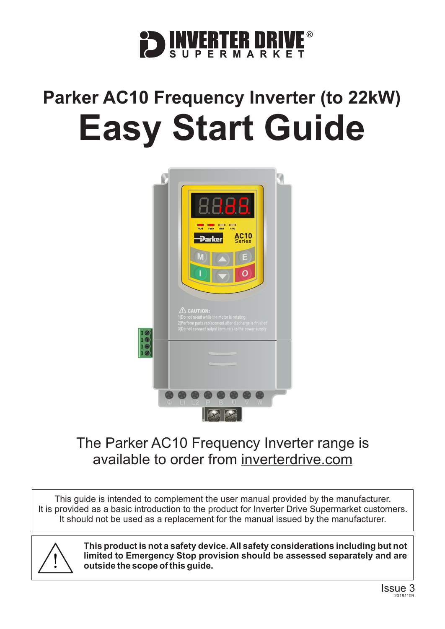

# **Parker AC10 Frequency Inverter (to 22kW) Easy Start Guide**



# The Parker AC10 Frequency Inverter range is available to order from [inverterdrive.com](https://inverterdrive.com/m/Parker/AC10/)

This guide is intended to complement the user manual provided by the manufacturer. It is provided as a basic introduction to the product for Inverter Drive Supermarket customers. It should not be used as a replacement for the manual issued by the manufacturer.



**This product is not a safety device. All safety considerations including but not limited to Emergency Stop provision should be assessed separately and are outside the scope of this guide.**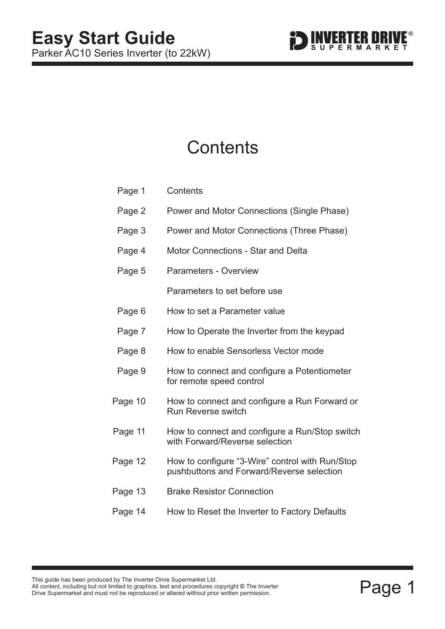

# **Contents**

| Page 1  | Contents                                                                                     |
|---------|----------------------------------------------------------------------------------------------|
| Page 2  | Power and Motor Connections (Single Phase)                                                   |
| Page 3  | Power and Motor Connections (Three Phase)                                                    |
| Page 4  | <b>Motor Connections - Star and Delta</b>                                                    |
| Page 5  | <b>Parameters - Overview</b>                                                                 |
|         | Parameters to set before use                                                                 |
| Page 6  | How to set a Parameter value                                                                 |
| Page 7  | How to Operate the Inverter from the keypad                                                  |
| Page 8  | How to enable Sensorless Vector mode                                                         |
| Page 9  | How to connect and configure a Potentiometer<br>for remote speed control                     |
| Page 10 | How to connect and configure a Run Forward or<br><b>Run Reverse switch</b>                   |
| Page 11 | How to connect and configure a Run/Stop switch<br>with Forward/Reverse selection             |
| Page 12 | How to configure "3-Wire" control with Run/Stop<br>pushbuttons and Forward/Reverse selection |
| Page 13 | <b>Brake Resistor Connection</b>                                                             |
| Page 14 | How to Reset the Inverter to Factory Defaults                                                |

This guide has been produced by The Inverter Drive Supermarket Ltd.<br>All content, including but not limited to graphics, text and procedures copyright © The Inverter<br>Drive Supermarket and must not be reproduced or altered w All content, including but not limited to graphics, text and procedures copyright © The Inverter Drive Supermarket and must not be reproduced or altered without prior written permission. **©**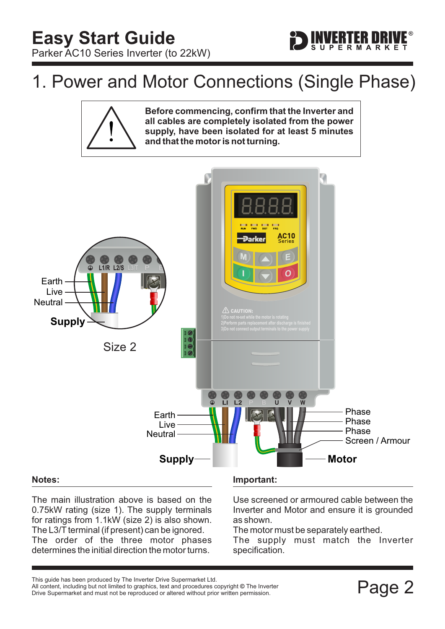# <span id="page-2-0"></span>1. Power and Motor Connections (Single Phase)



**Before commencing, confirm that the Inverter and all cables are completely isolated from the power supply, have been isolated for at least 5 minutes and that the motor is not turning.**

FRTFR MR



### The main illustration above is based on the 0.75kW rating (size 1). The supply terminals for ratings from 1.1kW (size 2) is also shown. The L3/T terminal (if present) can be ignored. The order of the three motor phases determines the initial direction the motor turns.

Use screened or armoured cable between the Inverter and Motor and ensure it is grounded as shown.

The motor must be separately earthed.

The supply must match the Inverter specification.

Filis guide rias been produced by The filverter Drive Supermarket Etd.<br>All content, including but not limited to graphics, text and procedures copyright © The Inverter<br>Drive Supermarket and must not be reproduced or altere Drive Supermarket and must not be reproduced or altered without prior written permission.

This guide has been produced by The Inverter Drive Supermarket Ltd.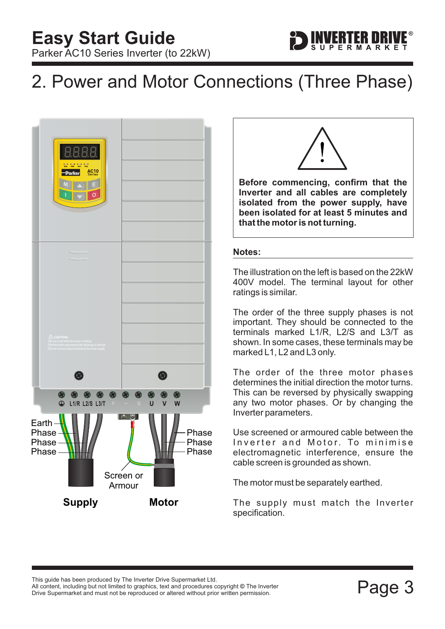# <span id="page-3-0"></span>2. Power and Motor Connections (Three Phase)





ERTER DRIV

**Before commencing, confirm that the Inverter and all cables are completely isolated from the power supply, have been isolated for at least 5 minutes and that the motor is not turning.**

### **Notes:**

The illustration on the left is based on the 22kW 400V model. The terminal layout for other ratings is similar.

The order of the three supply phases is not important. They should be connected to the terminals marked L1/R, L2/S and L3/T as shown. In some cases, these terminals may be marked L1, L2 and L3 only.

The order of the three motor phases determines the initial direction the motor turns. This can be reversed by physically swapping any two motor phases. Or by changing the Inverter parameters.

Use screened or armoured cable between the Inverter and Motor. To minimise electromagnetic interference, ensure the cable screen is grounded as shown.

The motor must be separately earthed.

The supply must match the Inverter specification.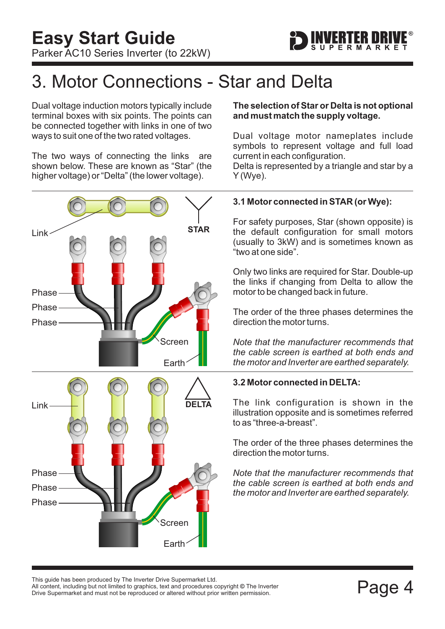

# <span id="page-4-0"></span>3. Motor Connections - Star and Delta

Dual voltage induction motors typically include terminal boxes with six points. The points can be connected together with links in one of two ways to suit one of the two rated voltages.

The two ways of connecting the links are shown below. These are known as "Star" (the higher voltage) or "Delta" (the lower voltage).



### **The selection of Star or Delta is not optional and must match the supply voltage.**

Dual voltage motor nameplates include symbols to represent voltage and full load current in each configuration.

Delta is represented by a triangle and star by a Y (Wye).

# **3.1 Motor connected in STAR (or Wye):**

For safety purposes, Star (shown opposite) is the default configuration for small motors (usually to 3kW) and is sometimes known as "two at one side".

Only two links are required for Star. Double-up the links if changing from Delta to allow the motor to be changed back in future.

The order of the three phases determines the direction the motor turns.

*Note that the manufacturer recommends that the cable screen is earthed at both ends and the motor and Inverter are earthed separately.*

# **3.2 Motor connected in DELTA:**

The link configuration is shown in the illustration opposite and is sometimes referred to as "three-a-breast".

The order of the three phases determines the direction the motor turns.

*Note that the manufacturer recommends that the cable screen is earthed at both ends and the motor and Inverter are earthed separately.*

This guide has been produced by The Inverter Drive Supermarket Ltd.<br>All content, including but not limited to graphics, text and procedures copyright © The Inverter<br>Drive Supermarket and must not be reproduced or altered w All content, including but not limited to graphics, text and procedures copyright © The Inverter Drive Supermarket and must not be reproduced or altered without prior written permission.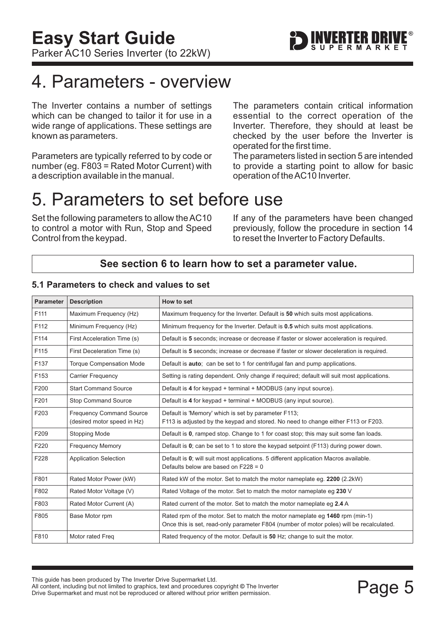# <span id="page-5-0"></span>4. Parameters - overview

The Inverter contains a number of settings which can be changed to tailor it for use in a wide range of applications. These settings are known as parameters.

Parameters are typically referred to by code or number (eg. F803 = Rated Motor Current) with a description available in the manual.

The parameters contain critical information essential to the correct operation of the Inverter. Therefore, they should at least be checked by the user before the Inverter is operated for the first time.

The parameters listed in section 5 are intended to provide a starting point to allow for basic operation of theAC10 Inverter.

# 5. Parameters to set before use

Set the following parameters to allow theAC10 to control a motor with Run, Stop and Speed Control from the keypad.

If any of the parameters have been changed previously, follow the procedure in [section 14](#page-14-0) to reset the Inverter to Factory Defaults.

# **See [section 6](#page-6-0) to learn how to set a parameter value.**

| <b>Parameter</b> | <b>Description</b>                                             | How to set                                                                                                                                                               |
|------------------|----------------------------------------------------------------|--------------------------------------------------------------------------------------------------------------------------------------------------------------------------|
| F111             | Maximum Frequency (Hz)                                         | Maximum frequency for the Inverter. Default is 50 which suits most applications.                                                                                         |
| F112             | Minimum Frequency (Hz)                                         | Minimum frequency for the Inverter. Default is 0.5 which suits most applications.                                                                                        |
| F114             | First Acceleration Time (s)                                    | Default is 5 seconds; increase or decrease if faster or slower acceleration is required.                                                                                 |
| F115             | First Deceleration Time (s)                                    | Default is 5 seconds; increase or decrease if faster or slower deceleration is required.                                                                                 |
| F137             | <b>Torque Compensation Mode</b>                                | Default is <b>auto</b> ; can be set to 1 for centrifugal fan and pump applications.                                                                                      |
| F153             | <b>Carrier Frequency</b>                                       | Setting is rating dependent. Only change if required; default will suit most applications.                                                                               |
| F200             | <b>Start Command Source</b>                                    | Default is 4 for keypad + terminal + MODBUS (any input source).                                                                                                          |
| F201             | <b>Stop Command Source</b>                                     | Default is 4 for keypad + terminal + MODBUS (any input source).                                                                                                          |
| F203             | <b>Frequency Command Source</b><br>(desired motor speed in Hz) | Default is 'Memory' which is set by parameter F113;<br>F113 is adjusted by the keypad and stored. No need to change either F113 or F203.                                 |
| F209             | <b>Stopping Mode</b>                                           | Default is 0, ramped stop. Change to 1 for coast stop; this may suit some fan loads.                                                                                     |
| F220             | <b>Frequency Memory</b>                                        | Default is 0; can be set to 1 to store the keypad setpoint (F113) during power down.                                                                                     |
| F228             | <b>Application Selection</b>                                   | Default is 0; will suit most applications. 5 different application Macros available.<br>Defaults below are based on $F228 = 0$                                           |
| F801             | Rated Motor Power (kW)                                         | Rated kW of the motor. Set to match the motor nameplate eg. 2200 (2.2kW)                                                                                                 |
| F802             | Rated Motor Voltage (V)                                        | Rated Voltage of the motor. Set to match the motor nameplate eg 230 V                                                                                                    |
| F803             | Rated Motor Current (A)                                        | Rated current of the motor. Set to match the motor nameplate eq 2.4 A                                                                                                    |
| F805             | Base Motor rpm                                                 | Rated rpm of the motor. Set to match the motor nameplate eq 1460 rpm (min-1)<br>Once this is set, read-only parameter F804 (number of motor poles) will be recalculated. |
| F810             | Motor rated Freg                                               | Rated frequency of the motor. Default is 50 Hz; change to suit the motor.                                                                                                |

### **5.1 Parameters to check and values to set**

This guide has been produced by The Inverter Drive Supermarket Ltd.<br>All content, including but not limited to graphics, text and procedures copyright © The Inverter<br>Drive Supermarket and must not be reproduced or altered w All content, including but not limited to graphics, text and procedures copyright © The Inverter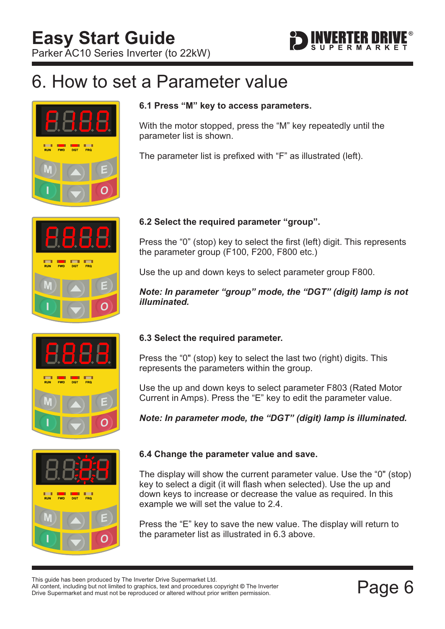

# <span id="page-6-0"></span>6. How to set a Parameter value



# FWD DGT FRQ



# parameter list is shown.

**6.1 Press "M" key to access parameters.**

The parameter list is prefixed with "F" as illustrated (left).

With the motor stopped, press the "M" key repeatedly until the

# **6.2 Select the required parameter "group".**

Press the "0" (stop) key to select the first (left) digit. This represents the parameter group (F100, F200, F800 etc.)

Use the up and down keys to select parameter group F800.

*Note: In parameter "group" mode, the "DGT" (digit) lamp is not illuminated.*

# **6.3 Select the required parameter.**

Press the "0" (stop) key to select the last two (right) digits. This represents the parameters within the group.

Use the up and down keys to select parameter F803 (Rated Motor Current in Amps). Press the "E" key to edit the parameter value.

*Note: In parameter mode, the "DGT" (digit) lamp is illuminated.*



# **6.4 Change the parameter value and save.**

The display will show the current parameter value. Use the "0" (stop) key to select a digit (it will flash when selected). Use the up and down keys to increase or decrease the value as required. In this example we will set the value to 2.4.

Press the "E" key to save the new value. The display will return to the parameter list as illustrated in 6.3 above.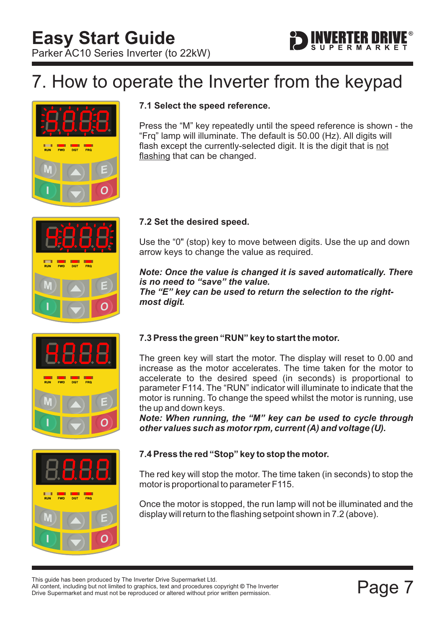

# <span id="page-7-0"></span>7. How to operate the Inverter from the keypad









# **7.1 Select the speed reference.**

Press the "M" key repeatedly until the speed reference is shown - the "Frq" lamp will illuminate. The default is 50.00 (Hz). All digits will flash except the currently-selected digit. It is the digit that is not flashing that can be changed.

# **7.2 Set the desired speed.**

Use the "0" (stop) key to move between digits. Use the up and down arrow keys to change the value as required.

*Note: Once the value is changed it is saved automatically. There is no need to "save" the value. The "E" key can be used to return the selection to the rightmost digit.*

# **7.3 Press the green "RUN" key to start the motor.**

The green key will start the motor. The display will reset to 0.00 and increase as the motor accelerates. The time taken for the motor to accelerate to the desired speed (in seconds) is proportional to parameter F114. The "RUN" indicator will illuminate to indicate that the motor is running. To change the speed whilst the motor is running, use the up and down keys.

*Note: When running, the "M" key can be used to cycle through other values such as motor rpm, current (A) and voltage (U).*

# **7.4 Press the red "Stop" key to stop the motor.**

The red key will stop the motor. The time taken (in seconds) to stop the motor is proportional to parameter F115.

Once the motor is stopped, the run lamp will not be illuminated and the display will return to the flashing setpoint shown in 7.2 (above).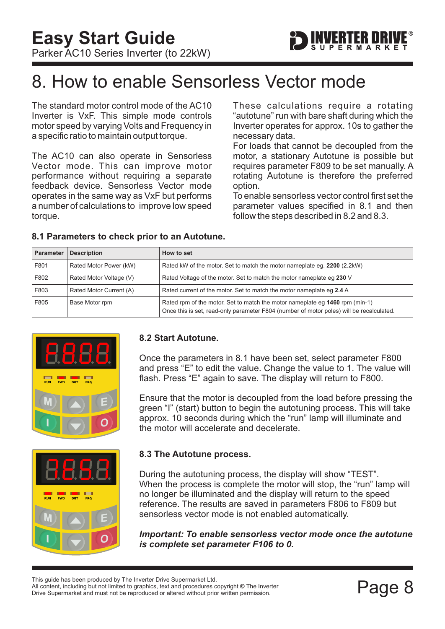# <span id="page-8-0"></span>8. How to enable Sensorless Vector mode

The standard motor control mode of the AC10 Inverter is VxF. This simple mode controls motor speed by varying Volts and Frequency in a specific ratio to maintain output torque.

The AC10 can also operate in Sensorless Vector mode. This can improve motor performance without requiring a separate feedback device. Sensorless Vector mode operates in the same way as VxF but performs a number of calculations to improve low speed torque.

These calculations require a rotating "autotune" run with bare shaft during which the Inverter operates for approx. 10s to gather the necessary data.

For loads that cannot be decoupled from the motor, a stationary Autotune is possible but requires parameter F809 to be set manually. A rotating Autotune is therefore the preferred option.

To enable sensorless vector control first set the parameter values specified in 8.1 and then follow the steps described in 8.2 and 8.3.

| <b>Parameter</b> | <b>Description</b>      | How to set                                                                                                                                                               |
|------------------|-------------------------|--------------------------------------------------------------------------------------------------------------------------------------------------------------------------|
| F801             | Rated Motor Power (kW)  | Rated kW of the motor. Set to match the motor nameplate eq. 2200 (2.2 kW)                                                                                                |
| F802             | Rated Motor Voltage (V) | Rated Voltage of the motor. Set to match the motor nameplate eg 230 V                                                                                                    |
| F803             | Rated Motor Current (A) | Rated current of the motor. Set to match the motor nameplate eq 2.4 A                                                                                                    |
| F805             | Base Motor rpm          | Rated rpm of the motor. Set to match the motor nameplate eq 1460 rpm (min-1)<br>Once this is set, read-only parameter F804 (number of motor poles) will be recalculated. |

# **8.1 Parameters to check prior to an Autotune.**



### **8.2 Start Autotune.**

Once the parameters in 8.1 have been set, select parameter F800 and press "E" to edit the value. Change the value to 1. The value will flash. Press "E" again to save. The display will return to F800.

Ensure that the motor is decoupled from the load before pressing the green "I" (start) button to begin the autotuning process. This will take approx. 10 seconds during which the "run" lamp will illuminate and the motor will accelerate and decelerate.



# **8.3 The Autotune process.**

During the autotuning process, the display will show "TEST". When the process is complete the motor will stop, the "run" lamp will no longer be illuminated and the display will return to the speed reference. The results are saved in parameters F806 to F809 but sensorless vector mode is not enabled automatically.

*Important: To enable sensorless vector mode once the autotune is complete set parameter F106 to 0.*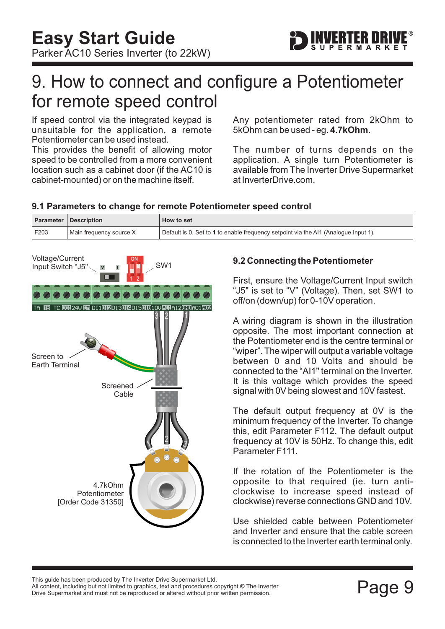

# <span id="page-9-0"></span>9. How to connect and configure a Potentiometer for remote speed control

If speed control via the integrated keypad is unsuitable for the application, a remote Potentiometer can be used instead.

This provides the benefit of allowing motor speed to be controlled from a more convenient location such as a cabinet door (if the AC10 is cabinet-mounted) or on the machine itself.

Any potentiometer rated from 2kOhm to 5kOhm can be used - eq. 4.7kOhm.

The number of turns depends on the application. A single turn Potentiometer is available from The Inverter Drive Supermarket at InverterDrive.com.

# **9.1 Parameters to change for remote Potentiometer speed control**

|      | Parameter   Description | How to set                                                                          |
|------|-------------------------|-------------------------------------------------------------------------------------|
| F203 | Main frequency source X | Default is 0. Set to 1 to enable frequency setpoint via the AI1 (Analogue Input 1). |



# **9.2 Connecting the Potentiometer**

First, ensure the Voltage/Current Input switch "J5" is set to "V" (Voltage). Then, set SW1 to off/on (down/up) for 0-10V operation.

A wiring diagram is shown in the illustration opposite. The most important connection at the Potentiometer end is the centre terminal or "wiper". The wiper will output a variable voltage between 0 and 10 Volts and should be connected to the "AI1" terminal on the Inverter. It is this voltage which provides the speed signal with 0V being slowest and 10V fastest.

The default output frequency at 0V is the minimum frequency of the Inverter. To change this, edit Parameter F112. The default output frequency at 10V is 50Hz. To change this, edit Parameter F111.

If the rotation of the Potentiometer is the opposite to that required (ie. turn anticlockwise to increase speed instead of clockwise) reverse connections GND and 10V.

Use shielded cable between Potentiometer and Inverter and ensure that the cable screen is connected to the Inverter earth terminal only.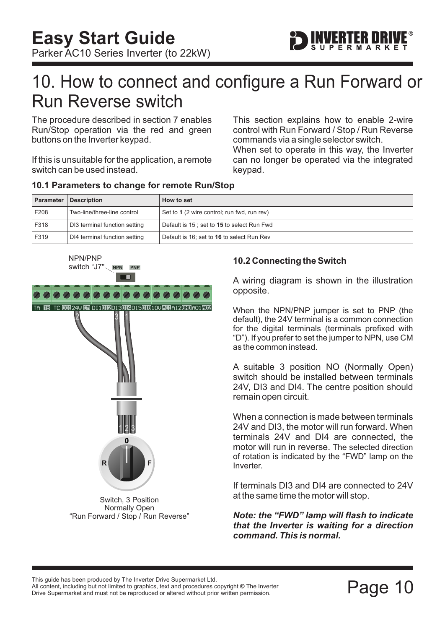<span id="page-10-0"></span>

The procedure described in [section 7](#page-7-0) enables Run/Stop operation via the red and green buttons on the Inverter keypad.

If this is unsuitable for the application, a remote switch can be used instead.

This section explains how to enable 2-wire control with Run Forward / Stop / Run Reverse commands via a single selector switch.

When set to operate in this way, the Inverter can no longer be operated via the integrated keypad.

| <b>Parameter</b> | <b>Description</b>            | How to set                                  |  |
|------------------|-------------------------------|---------------------------------------------|--|
| F208             | Two-line/three-line control   | Set to 1 (2 wire control; run fwd, run rev) |  |
| F318             | DI3 terminal function setting | Default is 15; set to 15 to select Run Fwd  |  |
| F319             | DI4 terminal function setting | Default is 16; set to 16 to select Run Rev  |  |

### **10.1 Parameters to change for remote Run/Stop**



# **10.2 Connecting the Switch**

A wiring diagram is shown in the illustration opposite.

When the NPN/PNP jumper is set to PNP (the default), the 24V terminal is a common connection for the digital terminals (terminals prefixed with "D"). If you prefer to set the jumper to NPN, use CM as the common instead.

A suitable 3 position NO (Normally Open) switch should be installed between terminals 24V, DI3 and DI4. The centre position should remain open circuit.

When a connection is made between terminals 24V and DI3, the motor will run forward. When terminals 24V and DI4 are connected, the motor will run in reverse. The selected direction of rotation is indicated by the "FWD" lamp on the Inverter.

If terminals DI3 and DI4 are connected to 24V at the same time the motor will stop.

*Note: the "FWD" lamp will flash to indicate that the Inverter is waiting for a direction command. This is normal.*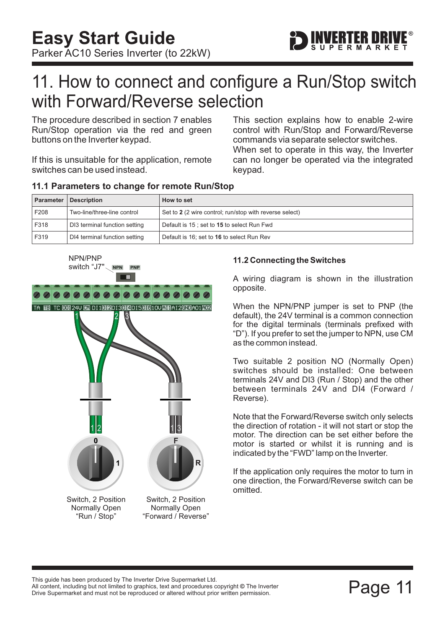

# <span id="page-11-0"></span>11. How to connect and configure a Run/Stop switch with Forward/Reverse selection

The procedure described in [section 7](#page-7-0) enables Run/Stop operation via the red and green buttons on the Inverter keypad.

If this is unsuitable for the application, remote switches can be used instead.

When set to operate in this way, the Inverter can no longer be operated via the integrated keypad. This section explains how to enable 2-wire control with Run/Stop and Forward/Reverse commands via separate selector switches.

| <b>Parameter</b> | <b>Description</b>            | How to set                                              |
|------------------|-------------------------------|---------------------------------------------------------|
| F208             | Two-line/three-line control   | Set to 2 (2 wire control; run/stop with reverse select) |
| F318             | DI3 terminal function setting | Default is 15; set to 15 to select Run Fwd              |
| F319             | DI4 terminal function setting | Default is 16; set to 16 to select Run Rev              |

### **11.1 Parameters to change for remote Run/Stop**



### **11.2 Connecting the Switches**

A wiring diagram is shown in the illustration opposite.

When the NPN/PNP jumper is set to PNP (the default), the 24V terminal is a common connection for the digital terminals (terminals prefixed with "D"). If you prefer to set the jumper to NPN, use CM as the common instead.

Two suitable 2 position NO (Normally Open) switches should be installed: One between terminals 24V and DI3 (Run / Stop) and the other between terminals 24V and DI4 (Forward / Reverse).

Note that the Forward/Reverse switch only selects the direction of rotation - it will not start or stop the motor. The direction can be set either before the motor is started or whilst it is running and is indicated by the "FWD" lamp on the Inverter.

If the application only requires the motor to turn in one direction, the Forward/Reverse switch can be omitted.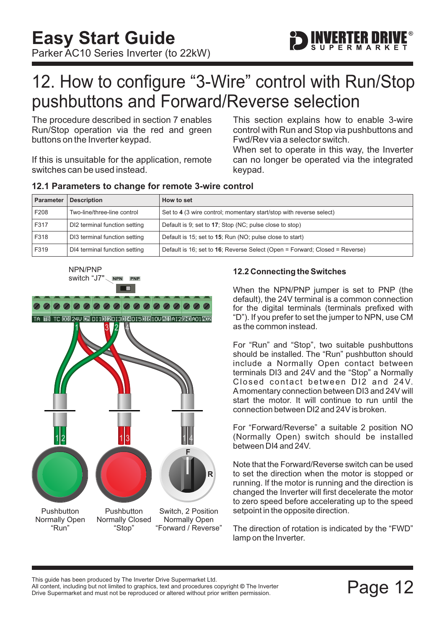

# <span id="page-12-0"></span>12. How to configure "3-Wire" control with Run/Stop pushbuttons and Forward/Reverse selection

The procedure described in [section 7](#page-7-0) enables Run/Stop operation via the red and green buttons on the Inverter keypad.

If this is unsuitable for the application, remote switches can be used instead.

This section explains how to enable 3-wire control with Run and Stop via pushbuttons and Fwd/Rev via a selector switch.

When set to operate in this way, the Inverter can no longer be operated via the integrated keypad.

| <b>Parameter</b> | <b>Description</b>            | How to set                                                                  |
|------------------|-------------------------------|-----------------------------------------------------------------------------|
| F208             | Two-line/three-line control   | Set to 4 (3 wire control; momentary start/stop with reverse select)         |
| F317             | DI2 terminal function setting | Default is 9; set to 17; Stop (NC; pulse close to stop)                     |
| F318             | DI3 terminal function setting | Default is 15; set to 15; Run (NO; pulse close to start)                    |
| F319             | DI4 terminal function setting | Default is 16; set to 16; Reverse Select (Open = Forward; Closed = Reverse) |

### **12.1 Parameters to change for remote 3-wire control**



### **12.2 Connecting the Switches**

When the NPN/PNP jumper is set to PNP (the default), the 24V terminal is a common connection for the digital terminals (terminals prefixed with "D"). If you prefer to set the jumper to NPN, use CM as the common instead.

For "Run" and "Stop", two suitable pushbuttons should be installed. The "Run" pushbutton should include a Normally Open contact between terminals DI3 and 24V and the "Stop" a Normally Closed contact between DI2 and 24V. Amomentary connection between DI3 and 24V will start the motor. It will continue to run until the connection between DI2 and 24V is broken.

For "Forward/Reverse" a suitable 2 position NO (Normally Open) switch should be installed between DI4 and 24V.

Note that the Forward/Reverse switch can be used to set the direction when the motor is stopped or running. If the motor is running and the direction is changed the Inverter will first decelerate the motor to zero speed before accelerating up to the speed setpoint in the opposite direction.

The direction of rotation is indicated by the "FWD" lamp on the Inverter.

This guide has been produced by The Inverter Drive Supermarket Ltd.

Filis guide rias been produced by The filverter Drive Supermarket Eta.<br>All content, including but not limited to graphics, text and procedures copyright © The Inverter<br>Drive Supermarket and must not be reproduced or altere Drive Supermarket and must not be reproduced or altered without prior written permission.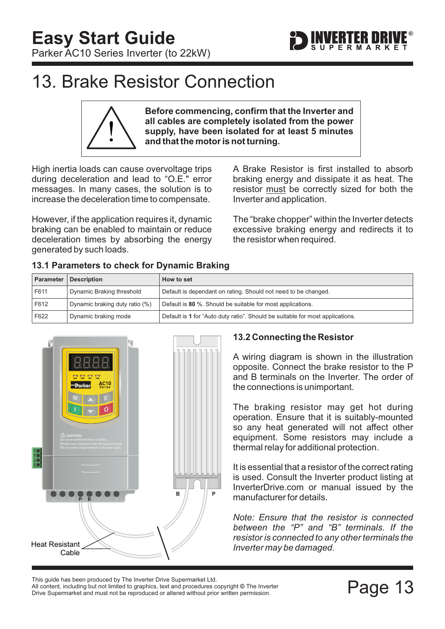<span id="page-13-0"></span>

**Before commencing, confirm that the Inverter and all cables are completely isolated from the power supply, have been isolated for at least 5 minutes and that the motor is not turning.**

High inertia loads can cause overvoltage trips during deceleration and lead to "O.E." error messages. In many cases, the solution is to increase the deceleration time to compensate.

However, if the application requires it, dynamic braking can be enabled to maintain or reduce deceleration times by absorbing the energy generated by such loads.

A Brake Resistor is first installed to absorb braking energy and dissipate it as heat. The resistor must be correctly sized for both the Inverter and application.

FRTER MR

The "brake chopper" within the Inverter detects excessive braking energy and redirects it to the resistor when required.

| i3.1 Parameters to check for Dynamic Braking |                                |                                                                |
|----------------------------------------------|--------------------------------|----------------------------------------------------------------|
|                                              | Parameter   Description        | <b>How to set</b>                                              |
| F611                                         | Dynamic Braking threshold      | Default is dependant on rating. Should not need to be changed. |
| F612                                         | Dynamic braking duty ratio (%) | Default is 80 %. Should be suitable for most applications.     |
|                                              |                                |                                                                |

F622 Dynamic braking mode Default is 1 for "Auto duty ratio". Should be suitable for most applications.

# **13.1 Parameters to check for Dynamic Braking**



# **13.2 Connecting the Resistor**

A wiring diagram is shown in the illustration opposite. Connect the brake resistor to the P and B terminals on the Inverter. The order of the connections is unimportant.

The braking resistor may get hot during operation. Ensure that it is suitably-mounted so any heat generated will not affect other equipment. Some resistors may include a thermal relay for additional protection.

It is essential that a resistor of the correct rating is used. Consult the Inverter product listing at InverterDrive.com or manual issued by the manufacturer for details.

*Note: Ensure that the resistor is connected between the "P" and "B" terminals. If the resistor is connected to any other terminals the Inverter may be damaged.*

Page 13 Deen produced by The Inverter Drive Supermarket Eta.<br>All content, including but not limited to graphics, text and procedures copyright © The Inverter<br>Drive Supermarket and must not be reproduced or altered without All content, including but not limited to graphics, text and procedures copyright © The Inverter This guide has been produced by The Inverter Drive Supermarket Ltd.